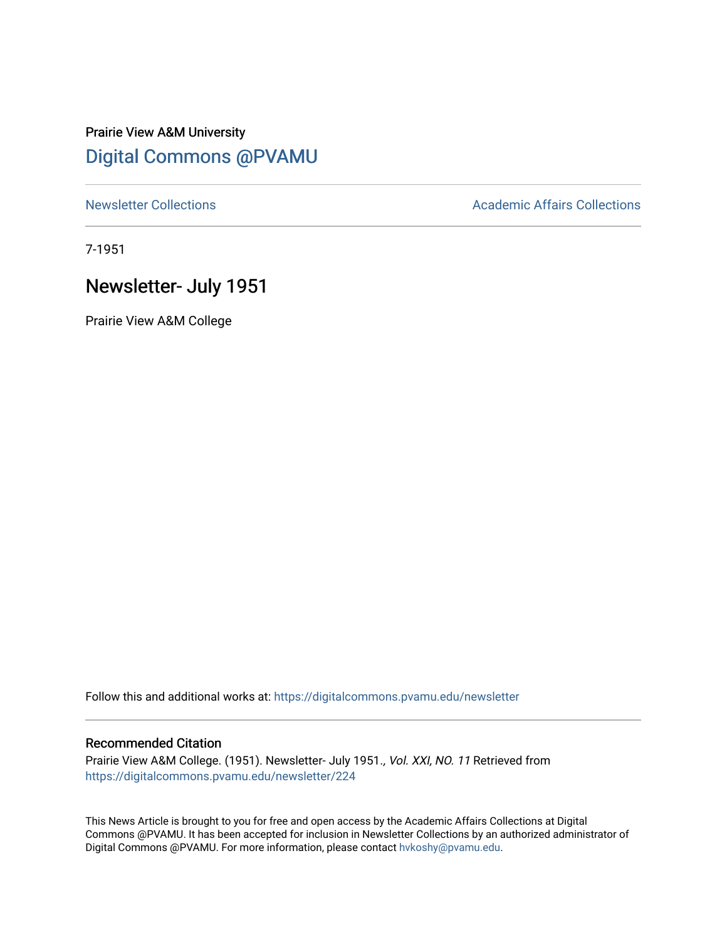# Prairie View A&M University [Digital Commons @PVAMU](https://digitalcommons.pvamu.edu/)

[Newsletter Collections](https://digitalcommons.pvamu.edu/newsletter) **Academic Affairs Collections Academic Affairs Collections** 

7-1951

# Newsletter- July 1951

Prairie View A&M College

Follow this and additional works at: [https://digitalcommons.pvamu.edu/newsletter](https://digitalcommons.pvamu.edu/newsletter?utm_source=digitalcommons.pvamu.edu%2Fnewsletter%2F224&utm_medium=PDF&utm_campaign=PDFCoverPages) 

## Recommended Citation

Prairie View A&M College. (1951). Newsletter- July 1951., Vol. XXI, NO. 11 Retrieved from [https://digitalcommons.pvamu.edu/newsletter/224](https://digitalcommons.pvamu.edu/newsletter/224?utm_source=digitalcommons.pvamu.edu%2Fnewsletter%2F224&utm_medium=PDF&utm_campaign=PDFCoverPages) 

This News Article is brought to you for free and open access by the Academic Affairs Collections at Digital Commons @PVAMU. It has been accepted for inclusion in Newsletter Collections by an authorized administrator of Digital Commons @PVAMU. For more information, please contact [hvkoshy@pvamu.edu.](mailto:hvkoshy@pvamu.edu)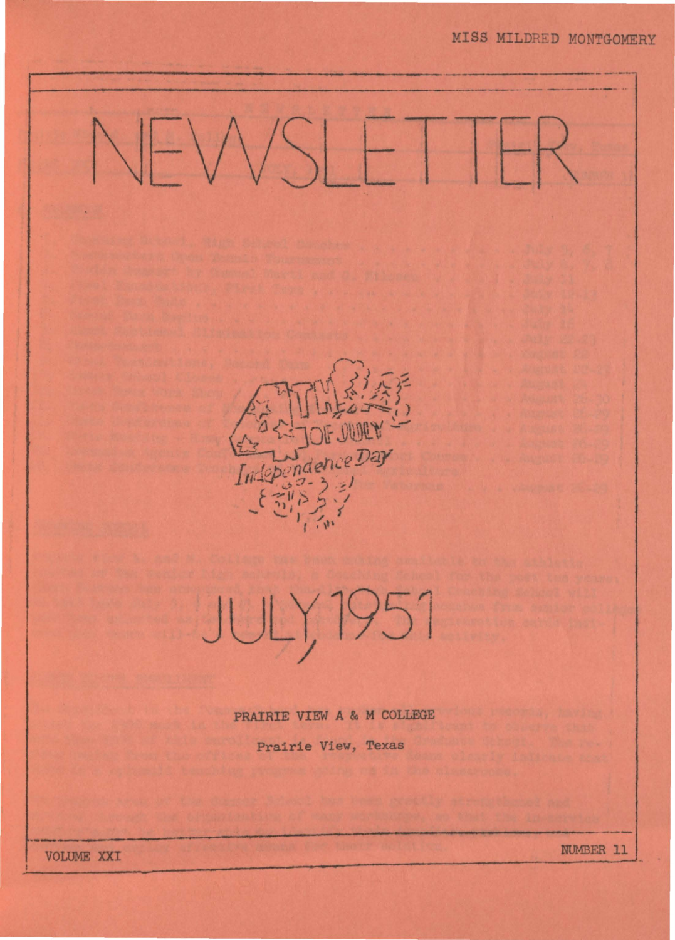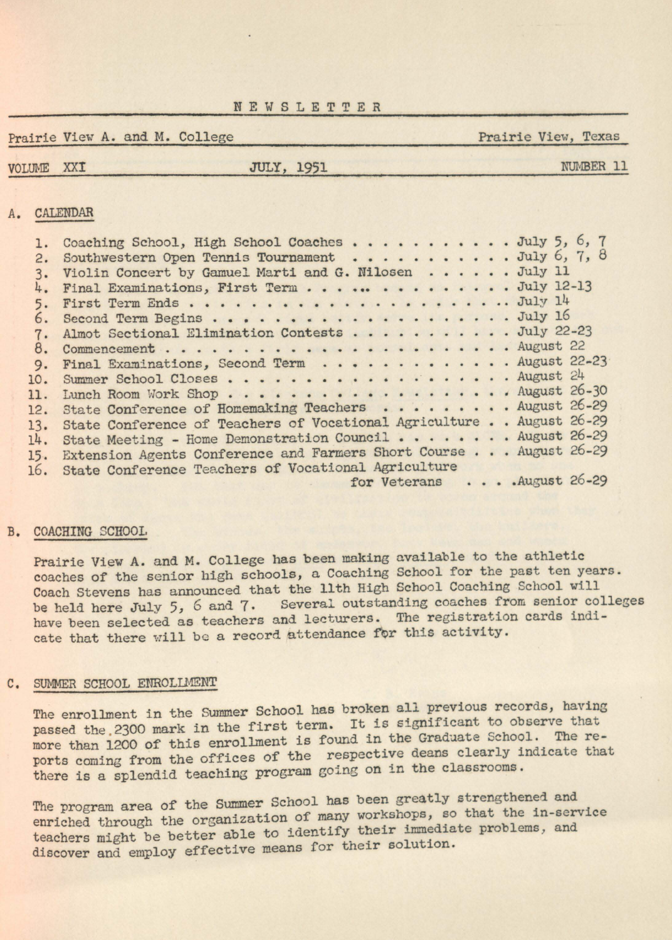NEWSLETTER

Prairie View A. and M. College Prairie View, Texas

VOLUME XXI JULY, 1951 NUMBER 11

### A. CALENDAR

| 1.  | Coaching School, High School Coaches July 5, 6, 7                   |  |
|-----|---------------------------------------------------------------------|--|
| 2.  | Southwestern Open Tennis Tournament July 6, 7, 8                    |  |
| 3.  | Violin Concert by Gamuel Marti and G. Nilosen July 11               |  |
| 4.  | Final Examinations, First Term July 12-13                           |  |
| 5.  |                                                                     |  |
| 6.  |                                                                     |  |
| 7.  | Almot Sectional Elimination Contests July 22-23                     |  |
| 8.  |                                                                     |  |
| 9.  | Final Examinations, Second Term August 22-23                        |  |
| 10. |                                                                     |  |
| 11. |                                                                     |  |
| 12. | State Conference of Homemaking Teachers August 26-29                |  |
| 13. | State Conference of Teachers of Vocational Agriculture August 26-29 |  |
| 14. | State Meeting - Home Demonstration Council August 26-29             |  |
| 15. | Extension Agents Conference and Farmers Short Course August 26-29   |  |
| 16. | State Conference Teachers of Vocational Agriculture                 |  |
|     | for Veterans August 26-29                                           |  |

### B. COACHING SCHOOL

Prairie View A. and M. College has been making available to the athletic coaches of the senior high schools, a Coaching School for the past ten years. Coach Stevens has announced that the 11th High School Coaching School will be held here July 5, 6 and 7. Several outstanding coaches from senior colleges have been selected as teachers and lecturers. The registration cards indicate that there will be a record attendance for this activity.

#### C. SUMMER SCHOOL ENROLIMENT

The enrollment in the Summer School has broken all previous records, having passed the 2300 mark in the first term. It is significant to observe that more than 1200 of this enrollment is found in the Graduate School. The reports coming from the offices of the respective deans clearly indicate that there is a splendid teaching program going on in the classrooms.

The program area of the Summer School has been greatly strengthened and enriched through the organization of many workshops, so that the in-service teachers might be better able to identify their innnediate problems, and discover and employ effective means for their solution.